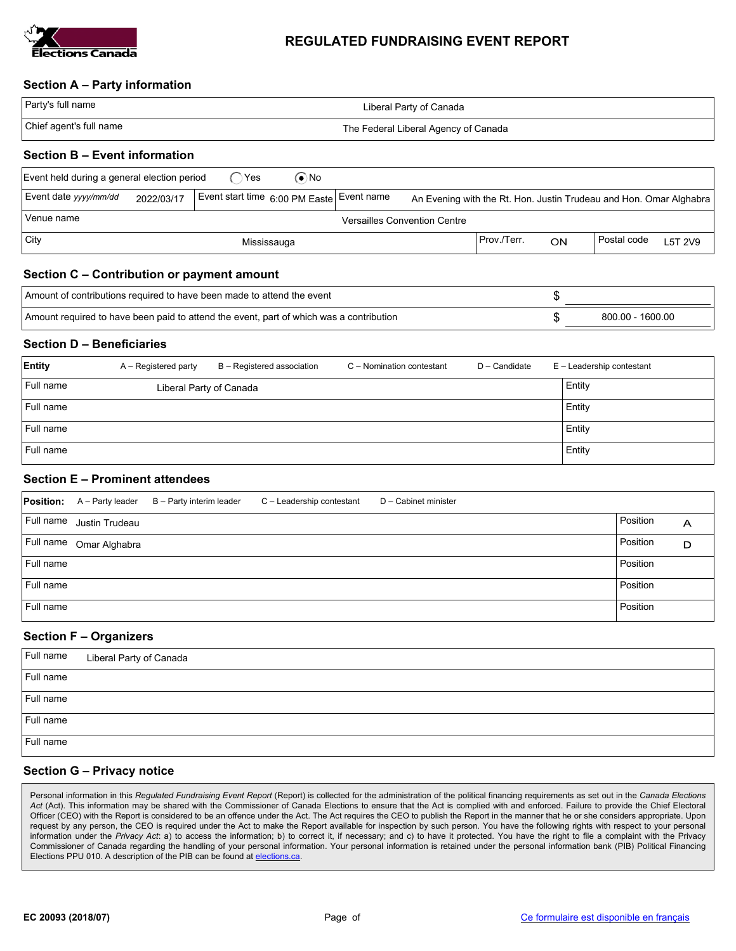

# REGULATED FUNDRAISING EVENT REPORT

## Section A – Party information

| Party's full name       | Liberal Party of Canada              |  |
|-------------------------|--------------------------------------|--|
| Chief agent's full name | The Federal Liberal Agency of Canada |  |
|                         |                                      |  |

# Section B – Event information

| Event held during a general election period       |            |  | Yes | (●`No                                     |  |             |    |                                                                    |         |
|---------------------------------------------------|------------|--|-----|-------------------------------------------|--|-------------|----|--------------------------------------------------------------------|---------|
| Event date yyyy/mm/dd                             | 2022/03/17 |  |     | Event start time 6:00 PM Easte Event name |  |             |    | An Evening with the Rt. Hon. Justin Trudeau and Hon. Omar Alghabra |         |
| Venue name<br><b>Versailles Convention Centre</b> |            |  |     |                                           |  |             |    |                                                                    |         |
| City                                              |            |  |     | Mississauga                               |  | Prov./Terr. | ON | Postal code                                                        | L5T 2V9 |

### Section C – Contribution or payment amount

| Amount of contributions required to have been made to attend the event                  |  |                  |
|-----------------------------------------------------------------------------------------|--|------------------|
| Amount required to have been paid to attend the event, part of which was a contribution |  | 800.00 - 1600.00 |

### Section D – Beneficiaries

| Entity    | A – Registered party    | B - Registered association | C - Nomination contestant | D - Candidate | E - Leadership contestant |
|-----------|-------------------------|----------------------------|---------------------------|---------------|---------------------------|
| Full name | Liberal Party of Canada |                            |                           |               | Entity                    |
| Full name |                         |                            |                           |               | Entity                    |
| Full name |                         |                            |                           |               | Entity                    |
| Full name |                         |                            |                           |               | Entity                    |

### Section E – Prominent attendees

| <b>Position:</b> |                | A - Party leader B - Party interim leader | C - Leadership contestant | D - Cabinet minister |          |   |
|------------------|----------------|-------------------------------------------|---------------------------|----------------------|----------|---|
| Full name        | Justin Trudeau |                                           |                           |                      | Position | А |
| Full name        | Omar Alghabra  |                                           |                           |                      | Position | D |
| Full name        |                |                                           |                           |                      | Position |   |
| Full name        |                |                                           |                           |                      | Position |   |
| Full name        |                |                                           |                           |                      | Position |   |

### Section F – Organizers

| Full name | Liberal Party of Canada |
|-----------|-------------------------|
| Full name |                         |
| Full name |                         |
| Full name |                         |
| Full name |                         |

### Section G – Privacy notice

Personal information in this Regulated Fundraising Event Report (Report) is collected for the administration of the political financing requirements as set out in the Canada Elections Act (Act). This information may be shared with the Commissioner of Canada Elections to ensure that the Act is complied with and enforced. Failure to provide the Chief Electoral Officer (CEO) with the Report is considered to be an offence under the Act. The Act requires the CEO to publish the Report in the manner that he or she considers appropriate. Upon request by any person, the CEO is required under the Act to make the Report available for inspection by such person. You have the following rights with respect to your personal information under the Privacy Act: a) to access the information; b) to correct it, if necessary; and c) to have it protected. You have the right to file a complaint with the Privacy Commissioner of Canada regarding the handling of your personal information. Your personal information is retained under the personal information bank (PIB) Political Financing Elections PPU 010. A description of the PIB can be found at elections.ca.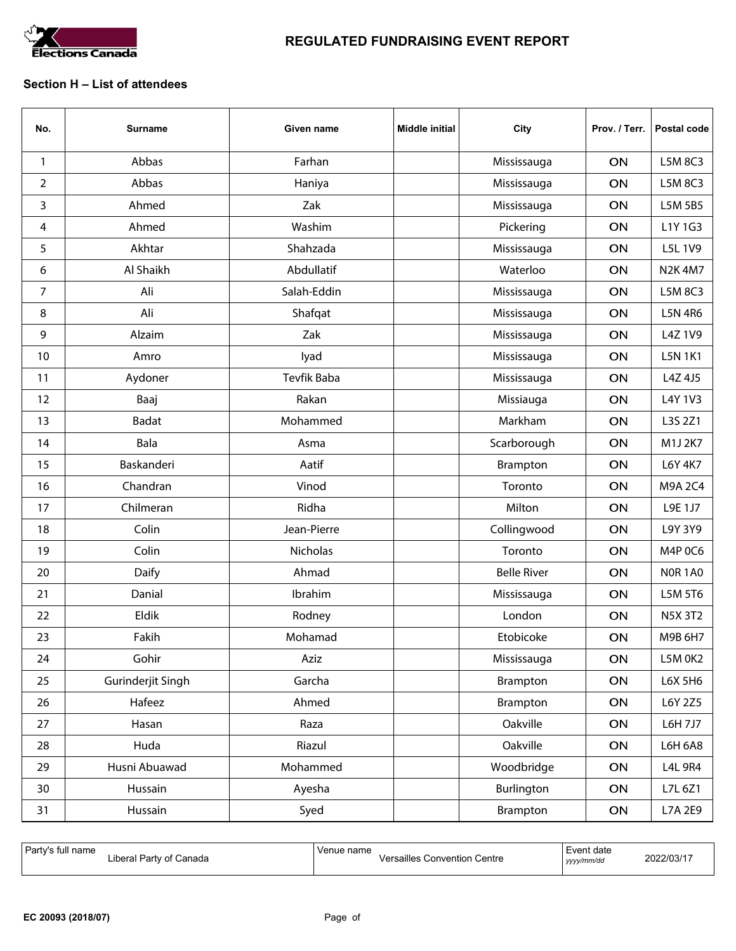

# Section H – List of attendees

| No. | <b>Surname</b>    | Given name  | <b>Middle initial</b> | City               | Prov. / Terr. | Postal code    |
|-----|-------------------|-------------|-----------------------|--------------------|---------------|----------------|
| 1   | Abbas             | Farhan      |                       | Mississauga        | ON            | L5M 8C3        |
| 2   | Abbas             | Haniya      |                       | Mississauga        | ON            | L5M 8C3        |
| 3   | Ahmed             | Zak         |                       | Mississauga        | ON            | L5M 5B5        |
| 4   | Ahmed             | Washim      |                       | Pickering          | ON            | L1Y 1G3        |
| 5   | Akhtar            | Shahzada    |                       | Mississauga        | ON            | L5L 1V9        |
| 6   | Al Shaikh         | Abdullatif  |                       | Waterloo           | ON            | <b>N2K4M7</b>  |
| 7   | Ali               | Salah-Eddin |                       | Mississauga        | ON            | L5M 8C3        |
| 8   | Ali               | Shafqat     |                       | Mississauga        | ON            | <b>L5N 4R6</b> |
| 9   | Alzaim            | Zak         |                       | Mississauga        | ON            | L4Z 1V9        |
| 10  | Amro              | lyad        |                       | Mississauga        | ON            | <b>L5N 1K1</b> |
| 11  | Aydoner           | Tevfik Baba |                       | Mississauga        | ON            | L4Z 4J5        |
| 12  | Baaj              | Rakan       |                       | Missiauga          | ON            | L4Y 1V3        |
| 13  | <b>Badat</b>      | Mohammed    |                       | Markham            | ON            | L3S 2Z1        |
| 14  | Bala              | Asma        |                       | Scarborough        | ON            | M1J 2K7        |
| 15  | Baskanderi        | Aatif       |                       | Brampton           | ON            | L6Y 4K7        |
| 16  | Chandran          | Vinod       |                       | Toronto            | ON            | M9A 2C4        |
| 17  | Chilmeran         | Ridha       |                       | Milton             | ON            | L9E 1J7        |
| 18  | Colin             | Jean-Pierre |                       | Collingwood        | ON            | L9Y 3Y9        |
| 19  | Colin             | Nicholas    |                       | Toronto            | ON            | M4P 0C6        |
| 20  | Daify             | Ahmad       |                       | <b>Belle River</b> | ON            | <b>NOR 1A0</b> |
| 21  | Danial            | Ibrahim     |                       | Mississauga        | ON            | L5M 5T6        |
| 22  | Eldik             | Rodney      |                       | London             | ON            | <b>N5X 3T2</b> |
| 23  | Fakih             | Mohamad     |                       | Etobicoke          | ON            | M9B 6H7        |
| 24  | Gohir             | Aziz        |                       | Mississauga        | ON            | L5M OK2        |
| 25  | Gurinderjit Singh | Garcha      |                       | Brampton           | ON            | L6X 5H6        |
| 26  | Hafeez            | Ahmed       |                       | Brampton           | ON            | L6Y 2Z5        |
| 27  | Hasan             | Raza        |                       | Oakville           | ON            | L6H 7J7        |
| 28  | Huda              | Riazul      |                       | Oakville           | ON            | <b>L6H 6A8</b> |
| 29  | Husni Abuawad     | Mohammed    |                       | Woodbridge         | ON            | <b>L4L 9R4</b> |
| 30  | Hussain           | Ayesha      |                       | Burlington         | ON            | L7L 6Z1        |
| 31  | Hussain           | Syed        |                       | Brampton           | ON            | L7A 2E9        |

| Party's full name<br>I Party of Canada<br>-iberal | Venue name<br>Versailles C<br><b>Convention Centre</b> | Event date<br>yyyy/mm/dd | 2022/03/17 |
|---------------------------------------------------|--------------------------------------------------------|--------------------------|------------|
|---------------------------------------------------|--------------------------------------------------------|--------------------------|------------|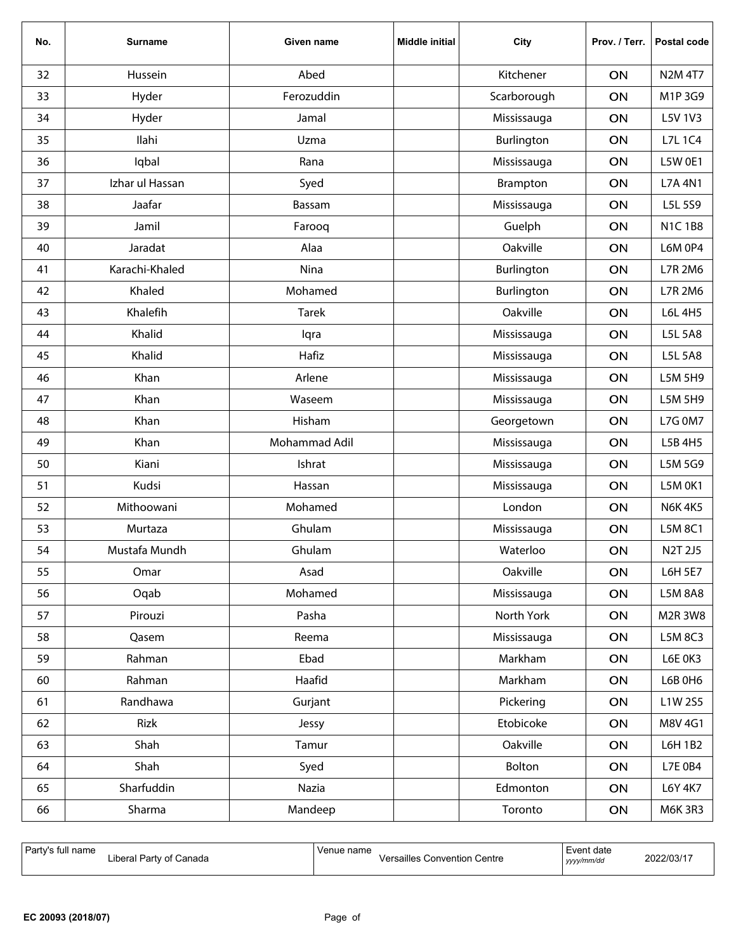| No. | <b>Surname</b>  | Given name    | <b>Middle initial</b> | City        | Prov. / Terr. | Postal code    |
|-----|-----------------|---------------|-----------------------|-------------|---------------|----------------|
| 32  | Hussein         | Abed          |                       | Kitchener   | ON            | <b>N2M 4T7</b> |
| 33  | Hyder           | Ferozuddin    |                       | Scarborough | ON            | M1P3G9         |
| 34  | Hyder           | Jamal         |                       | Mississauga | ON            | L5V 1V3        |
| 35  | Ilahi           | Uzma          |                       | Burlington  | ON            | L7L 1C4        |
| 36  | Iqbal           | Rana          |                       | Mississauga | ON            | <b>L5W 0E1</b> |
| 37  | Izhar ul Hassan | Syed          |                       | Brampton    | ON            | <b>L7A 4N1</b> |
| 38  | Jaafar          | Bassam        |                       | Mississauga | ON            | L5L 5S9        |
| 39  | Jamil           | Farooq        |                       | Guelph      | ON            | <b>N1C1B8</b>  |
| 40  | Jaradat         | Alaa          |                       | Oakville    | ON            | <b>L6M 0P4</b> |
| 41  | Karachi-Khaled  | Nina          |                       | Burlington  | ON            | L7R 2M6        |
| 42  | Khaled          | Mohamed       |                       | Burlington  | ON            | L7R 2M6        |
| 43  | Khalefih        | <b>Tarek</b>  |                       | Oakville    | ON            | L6L 4H5        |
| 44  | Khalid          | lqra          |                       | Mississauga | ON            | L5L 5A8        |
| 45  | Khalid          | Hafiz         |                       | Mississauga | ON            | L5L 5A8        |
| 46  | Khan            | Arlene        |                       | Mississauga | ON            | L5M 5H9        |
| 47  | Khan            | Waseem        |                       | Mississauga | ON            | L5M 5H9        |
| 48  | Khan            | Hisham        |                       | Georgetown  | ON            | <b>L7G 0M7</b> |
| 49  | Khan            | Mohammad Adil |                       | Mississauga | ON            | L5B 4H5        |
| 50  | Kiani           | Ishrat        |                       | Mississauga | ON            | L5M 5G9        |
| 51  | Kudsi           | Hassan        |                       | Mississauga | ON            | L5M 0K1        |
| 52  | Mithoowani      | Mohamed       |                       | London      | ON            | <b>N6K4K5</b>  |
| 53  | Murtaza         | Ghulam        |                       | Mississauga | ON            | L5M 8C1        |
| 54  | Mustafa Mundh   | Ghulam        |                       | Waterloo    | ON            | N2T 2J5        |
| 55  | Omar            | Asad          |                       | Oakville    | ON            | L6H 5E7        |
| 56  | Oqab            | Mohamed       |                       | Mississauga | ON            | <b>L5M 8A8</b> |
| 57  | Pirouzi         | Pasha         |                       | North York  | ON            | M2R 3W8        |
| 58  | Qasem           | Reema         |                       | Mississauga | ON            | L5M 8C3        |
| 59  | Rahman          | Ebad          |                       | Markham     | ON            | L6E 0K3        |
| 60  | Rahman          | Haafid        |                       | Markham     | ON            | L6B 0H6        |
| 61  | Randhawa        | Gurjant       |                       | Pickering   | ON            | L1W 2S5        |
| 62  | Rizk            | Jessy         |                       | Etobicoke   | ON            | M8V 4G1        |
| 63  | Shah            | Tamur         |                       | Oakville    | ON            | L6H 1B2        |
| 64  | Shah            | Syed          |                       | Bolton      | ON            | L7E 0B4        |
| 65  | Sharfuddin      | Nazia         |                       | Edmonton    | ON            | L6Y 4K7        |
| 66  | Sharma          | Mandeep       |                       | Toronto     | ON            | <b>M6K 3R3</b> |

| Party's full name<br>Venue name<br>Liberal Party of Canada | Event date<br><b>Versailles Convention Centre</b><br>yyyy/mm/dd | 2022/03/17 |
|------------------------------------------------------------|-----------------------------------------------------------------|------------|
|------------------------------------------------------------|-----------------------------------------------------------------|------------|